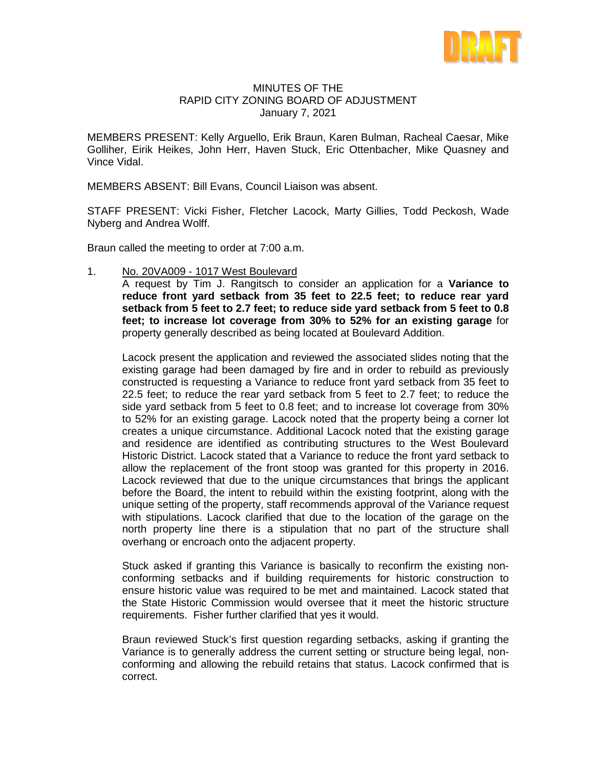

## MINUTES OF THE RAPID CITY ZONING BOARD OF ADJUSTMENT January 7, 2021

MEMBERS PRESENT: Kelly Arguello, Erik Braun, Karen Bulman, Racheal Caesar, Mike Golliher, Eirik Heikes, John Herr, Haven Stuck, Eric Ottenbacher, Mike Quasney and Vince Vidal.

MEMBERS ABSENT: Bill Evans, Council Liaison was absent.

STAFF PRESENT: Vicki Fisher, Fletcher Lacock, Marty Gillies, Todd Peckosh, Wade Nyberg and Andrea Wolff.

Braun called the meeting to order at 7:00 a.m.

1. No. 20VA009 - 1017 West Boulevard

A request by Tim J. Rangitsch to consider an application for a **Variance to reduce front yard setback from 35 feet to 22.5 feet; to reduce rear yard setback from 5 feet to 2.7 feet; to reduce side yard setback from 5 feet to 0.8 feet; to increase lot coverage from 30% to 52% for an existing garage** for property generally described as being located at Boulevard Addition.

Lacock present the application and reviewed the associated slides noting that the existing garage had been damaged by fire and in order to rebuild as previously constructed is requesting a Variance to reduce front yard setback from 35 feet to 22.5 feet; to reduce the rear yard setback from 5 feet to 2.7 feet; to reduce the side yard setback from 5 feet to 0.8 feet; and to increase lot coverage from 30% to 52% for an existing garage. Lacock noted that the property being a corner lot creates a unique circumstance. Additional Lacock noted that the existing garage and residence are identified as contributing structures to the West Boulevard Historic District. Lacock stated that a Variance to reduce the front yard setback to allow the replacement of the front stoop was granted for this property in 2016. Lacock reviewed that due to the unique circumstances that brings the applicant before the Board, the intent to rebuild within the existing footprint, along with the unique setting of the property, staff recommends approval of the Variance request with stipulations. Lacock clarified that due to the location of the garage on the north property line there is a stipulation that no part of the structure shall overhang or encroach onto the adjacent property.

Stuck asked if granting this Variance is basically to reconfirm the existing nonconforming setbacks and if building requirements for historic construction to ensure historic value was required to be met and maintained. Lacock stated that the State Historic Commission would oversee that it meet the historic structure requirements. Fisher further clarified that yes it would.

Braun reviewed Stuck's first question regarding setbacks, asking if granting the Variance is to generally address the current setting or structure being legal, nonconforming and allowing the rebuild retains that status. Lacock confirmed that is correct.